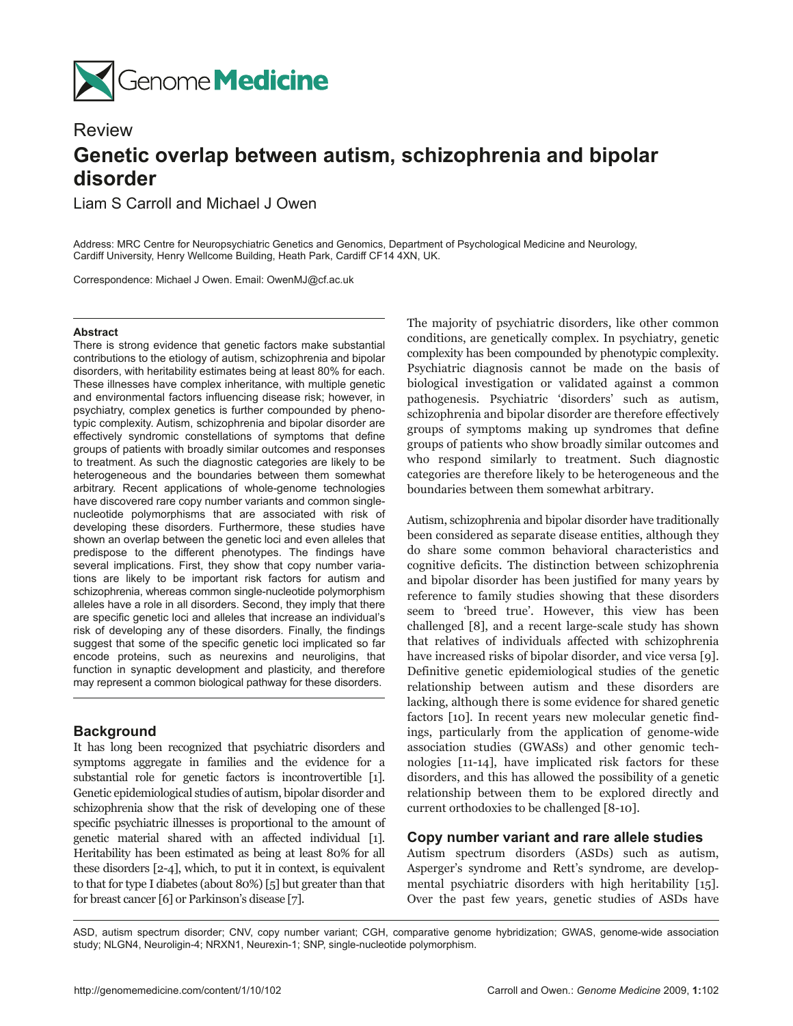

# **Review Genetic overlap between autism, schizophrenia and bipolar disorder**

Liam S Carroll and Michael J Owen

Address: MRC Centre for Neuropsychiatric Genetics and Genomics, Department of Psychological Medicine and Neurology, Cardiff University, Henry Wellcome Building, Heath Park, Cardiff CF14 4XN, UK.

Correspondence: Michael J Owen. Email: OwenMJ@cf.ac.uk

#### **Abstract**

There is strong evidence that genetic factors make substantial contributions to the etiology of autism, schizophrenia and bipolar disorders, with heritability estimates being at least 80% for each. These illnesses have complex inheritance, with multiple genetic and environmental factors influencing disease risk; however, in psychiatry, complex genetics is further compounded by phenotypic complexity. Autism, schizophrenia and bipolar disorder are effectively syndromic constellations of symptoms that define groups of patients with broadly similar outcomes and responses to treatment. As such the diagnostic categories are likely to be heterogeneous and the boundaries between them somewhat arbitrary. Recent applications of whole-genome technologies have discovered rare copy number variants and common singlenucleotide polymorphisms that are associated with risk of developing these disorders. Furthermore, these studies have shown an overlap between the genetic loci and even alleles that predispose to the different phenotypes. The findings have several implications. First, they show that copy number variations are likely to be important risk factors for autism and schizophrenia, whereas common single-nucleotide polymorphism alleles have a role in all disorders. Second, they imply that there are specific genetic loci and alleles that increase an individual's risk of developing any of these disorders. Finally, the findings suggest that some of the specific genetic loci implicated so far encode proteins, such as neurexins and neuroligins, that function in synaptic development and plasticity, and therefore may represent a common biological pathway for these disorders.

## **Background**

It has long been recognized that psychiatric disorders and symptoms aggregate in families and the evidence for a substantial role for genetic factors is incontrovertible [1]. Genetic epidemiological studies of autism, bipolar disorder and schizophrenia show that the risk of developing one of these specific psychiatric illnesses is proportional to the amount of genetic material shared with an affected individual [1]. Heritability has been estimated as being at least 80% for all these disorders [2-4], which, to put it in context, is equivalent to that for type I diabetes (about 80%) [5] but greater than that for breast cancer [6] or Parkinson's disease [7].

The majority of psychiatric disorders, like other common conditions, are genetically complex. In psychiatry, genetic complexity has been compounded by phenotypic complexity. Psychiatric diagnosis cannot be made on the basis of biological investigation or validated against a common pathogenesis. Psychiatric 'disorders' such as autism, schizophrenia and bipolar disorder are therefore effectively groups of symptoms making up syndromes that define groups of patients who show broadly similar outcomes and who respond similarly to treatment. Such diagnostic categories are therefore likely to be heterogeneous and the boundaries between them somewhat arbitrary.

Autism, schizophrenia and bipolar disorder have traditionally been considered as separate disease entities, although they do share some common behavioral characteristics and cognitive deficits. The distinction between schizophrenia and bipolar disorder has been justified for many years by reference to family studies showing that these disorders seem to 'breed true'. However, this view has been challenged [8], and a recent large-scale study has shown that relatives of individuals affected with schizophrenia have increased risks of bipolar disorder, and vice versa [9]. Definitive genetic epidemiological studies of the genetic relationship between autism and these disorders are lacking, although there is some evidence for shared genetic factors [10]. In recent years new molecular genetic findings, particularly from the application of genome-wide association studies (GWASs) and other genomic technologies [11-14], have implicated risk factors for these disorders, and this has allowed the possibility of a genetic relationship between them to be explored directly and current orthodoxies to be challenged [8-10].

## **Copy number variant and rare allele studies**

Autism spectrum disorders (ASDs) such as autism, Asperger's syndrome and Rett's syndrome, are developmental psychiatric disorders with high heritability [15]. Over the past few years, genetic studies of ASDs have

ASD, autism spectrum disorder; CNV, copy number variant; CGH, comparative genome hybridization; GWAS, genome-wide association study; NLGN4, Neuroligin-4; NRXN1, Neurexin-1; SNP, single-nucleotide polymorphism.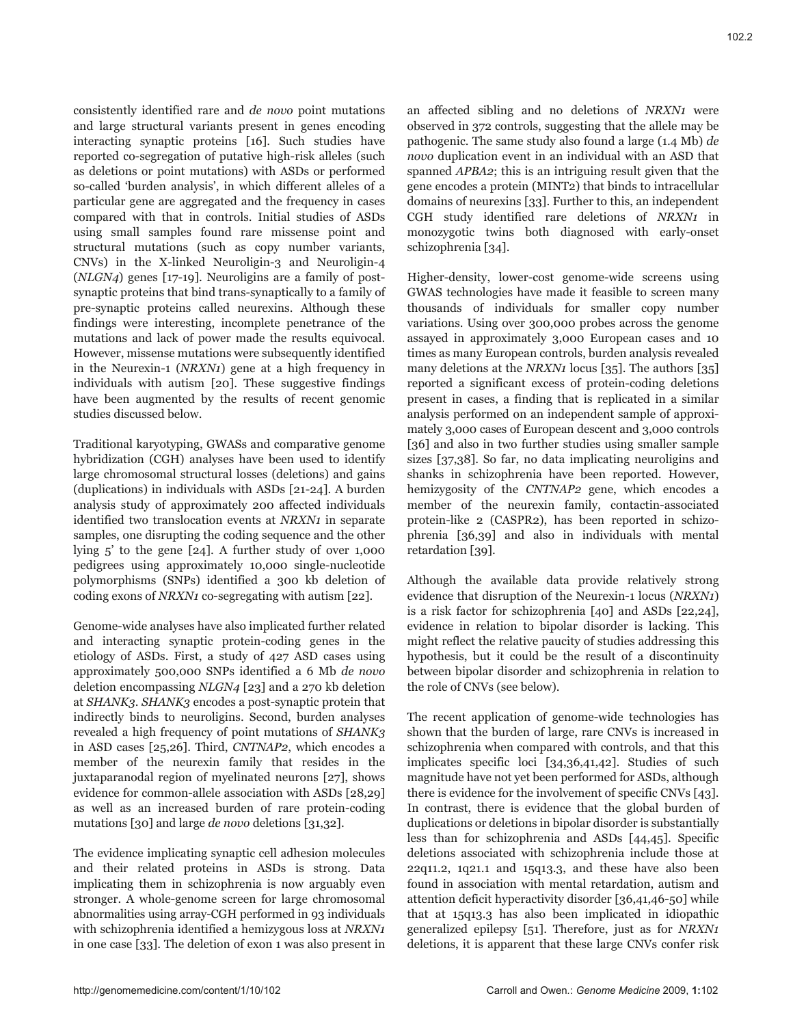consistently identified rare and *de novo* point mutations and large structural variants present in genes encoding interacting synaptic proteins [16]. Such studies have reported co-segregation of putative high-risk alleles (such as deletions or point mutations) with ASDs or performed so-called 'burden analysis', in which different alleles of a particular gene are aggregated and the frequency in cases compared with that in controls. Initial studies of ASDs using small samples found rare missense point and structural mutations (such as copy number variants, CNVs) in the X-linked Neuroligin-3 and Neuroligin-4 (*NLGN4*) genes [17-19]. Neuroligins are a family of postsynaptic proteins that bind trans-synaptically to a family of pre-synaptic proteins called neurexins. Although these findings were interesting, incomplete penetrance of the mutations and lack of power made the results equivocal. However, missense mutations were subsequently identified in the Neurexin-1 (*NRXN1*) gene at a high frequency in individuals with autism [20]. These suggestive findings have been augmented by the results of recent genomic studies discussed below.

Traditional karyotyping, GWASs and comparative genome hybridization (CGH) analyses have been used to identify large chromosomal structural losses (deletions) and gains (duplications) in individuals with ASDs [21-24]. A burden analysis study of approximately 200 affected individuals identified two translocation events at *NRXN1* in separate samples, one disrupting the coding sequence and the other lying 5' to the gene [24]. A further study of over 1,000 pedigrees using approximately 10,000 single-nucleotide polymorphisms (SNPs) identified a 300 kb deletion of coding exons of *NRXN1* co-segregating with autism [22].

Genome-wide analyses have also implicated further related and interacting synaptic protein-coding genes in the etiology of ASDs. First, a study of 427 ASD cases using approximately 500,000 SNPs identified a 6 Mb *de novo* deletion encompassing *NLGN4* [23] and a 270 kb deletion at *SHANK3*. *SHANK3* encodes a post-synaptic protein that indirectly binds to neuroligins. Second, burden analyses revealed a high frequency of point mutations of *SHANK3*  in ASD cases [25,26]. Third, *CNTNAP2*, which encodes a member of the neurexin family that resides in the juxtaparanodal region of myelinated neurons [27], shows evidence for common-allele association with ASDs [28,29] as well as an increased burden of rare protein-coding mutations [30] and large *de novo* deletions [31,32].

The evidence implicating synaptic cell adhesion molecules and their related proteins in ASDs is strong. Data implicating them in schizophrenia is now arguably even stronger. A whole-genome screen for large chromosomal abnormalities using array-CGH performed in 93 individuals with schizophrenia identified a hemizygous loss at *NRXN1* in one case [33]. The deletion of exon 1 was also present in

an affected sibling and no deletions of *NRXN1* were observed in 372 controls, suggesting that the allele may be pathogenic. The same study also found a large (1.4 Mb) *de novo* duplication event in an individual with an ASD that spanned *APBA2*; this is an intriguing result given that the gene encodes a protein (MINT2) that binds to intracellular domains of neurexins [33]. Further to this, an independent CGH study identified rare deletions of *NRXN1* in monozygotic twins both diagnosed with early-onset schizophrenia [34].

Higher-density, lower-cost genome-wide screens using GWAS technologies have made it feasible to screen many thousands of individuals for smaller copy number variations. Using over 300,000 probes across the genome assayed in approximately 3,000 European cases and 10 times as many European controls, burden analysis revealed many deletions at the *NRXN1* locus [35]. The authors [35] reported a significant excess of protein-coding deletions present in cases, a finding that is replicated in a similar analysis performed on an independent sample of approximately 3,000 cases of European descent and 3,000 controls [36] and also in two further studies using smaller sample sizes [37,38]. So far, no data implicating neuroligins and shanks in schizophrenia have been reported. However, hemizygosity of the *CNTNAP2* gene, which encodes a member of the neurexin family, contactin-associated protein-like 2 (CASPR2), has been reported in schizophrenia [36,39] and also in individuals with mental retardation [39].

Although the available data provide relatively strong evidence that disruption of the Neurexin-1 locus (*NRXN1*) is a risk factor for schizophrenia [40] and ASDs [22,24], evidence in relation to bipolar disorder is lacking. This might reflect the relative paucity of studies addressing this hypothesis, but it could be the result of a discontinuity between bipolar disorder and schizophrenia in relation to the role of CNVs (see below).

The recent application of genome-wide technologies has shown that the burden of large, rare CNVs is increased in schizophrenia when compared with controls, and that this implicates specific loci [34,36,41,42]. Studies of such magnitude have not yet been performed for ASDs, although there is evidence for the involvement of specific CNVs [43]. In contrast, there is evidence that the global burden of duplications or deletions in bipolar disorder is substantially less than for schizophrenia and ASDs [44,45]. Specific deletions associated with schizophrenia include those at 22q11.2, 1q21.1 and 15q13.3, and these have also been found in association with mental retardation, autism and attention deficit hyperactivity disorder [36,41,46-50] while that at 15q13.3 has also been implicated in idiopathic generalized epilepsy [51]. Therefore, just as for *NRXN1*  deletions, it is apparent that these large CNVs confer risk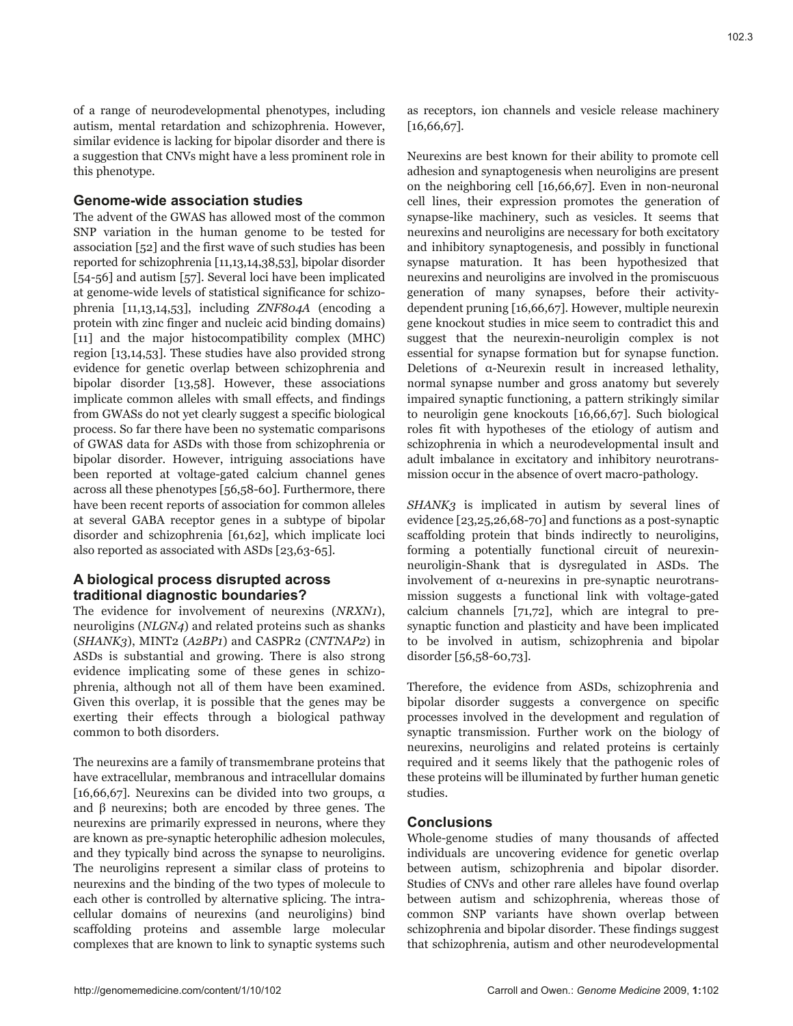of a range of neurodevelopmental phenotypes, including autism, mental retardation and schizophrenia. However, similar evidence is lacking for bipolar disorder and there is a suggestion that CNVs might have a less prominent role in this phenotype.

## **Genome-wide association studies**

The advent of the GWAS has allowed most of the common SNP variation in the human genome to be tested for association [52] and the first wave of such studies has been reported for schizophrenia [11,13,14,38,53], bipolar disorder [54-56] and autism [57]. Several loci have been implicated at genome-wide levels of statistical significance for schizophrenia [11,13,14,53], including *ZNF804A* (encoding a protein with zinc finger and nucleic acid binding domains) [11] and the major histocompatibility complex (MHC) region [13,14,53]. These studies have also provided strong evidence for genetic overlap between schizophrenia and bipolar disorder [13,58]. However, these associations implicate common alleles with small effects, and findings from GWASs do not yet clearly suggest a specific biological process. So far there have been no systematic comparisons of GWAS data for ASDs with those from schizophrenia or bipolar disorder. However, intriguing associations have been reported at voltage-gated calcium channel genes across all these phenotypes [56,58-60]. Furthermore, there have been recent reports of association for common alleles at several GABA receptor genes in a subtype of bipolar disorder and schizophrenia [61,62], which implicate loci also reported as associated with ASDs [23,63-65].

## **A biological process disrupted across traditional diagnostic boundaries?**

The evidence for involvement of neurexins (*NRXN1*), neuroligins (*NLGN4*) and related proteins such as shanks (*SHANK3*), MINT2 (*A2BP1*) and CASPR2 (*CNTNAP2*) in ASDs is substantial and growing. There is also strong evidence implicating some of these genes in schizophrenia, although not all of them have been examined. Given this overlap, it is possible that the genes may be exerting their effects through a biological pathway common to both disorders.

The neurexins are a family of transmembrane proteins that have extracellular, membranous and intracellular domains [16,66,67]. Neurexins can be divided into two groups,  $\alpha$ and β neurexins; both are encoded by three genes. The neurexins are primarily expressed in neurons, where they are known as pre-synaptic heterophilic adhesion molecules, and they typically bind across the synapse to neuroligins. The neuroligins represent a similar class of proteins to neurexins and the binding of the two types of molecule to each other is controlled by alternative splicing. The intracellular domains of neurexins (and neuroligins) bind scaffolding proteins and assemble large molecular complexes that are known to link to synaptic systems such

as receptors, ion channels and vesicle release machinery [16,66,67].

Neurexins are best known for their ability to promote cell adhesion and synaptogenesis when neuroligins are present on the neighboring cell [16,66,67]. Even in non-neuronal cell lines, their expression promotes the generation of synapse-like machinery, such as vesicles. It seems that neurexins and neuroligins are necessary for both excitatory and inhibitory synaptogenesis, and possibly in functional synapse maturation. It has been hypothesized that neurexins and neuroligins are involved in the promiscuous generation of many synapses, before their activitydependent pruning [16,66,67]. However, multiple neurexin gene knockout studies in mice seem to contradict this and suggest that the neurexin-neuroligin complex is not essential for synapse formation but for synapse function. Deletions of α-Neurexin result in increased lethality, normal synapse number and gross anatomy but severely impaired synaptic functioning, a pattern strikingly similar to neuroligin gene knockouts [16,66,67]. Such biological roles fit with hypotheses of the etiology of autism and schizophrenia in which a neurodevelopmental insult and adult imbalance in excitatory and inhibitory neurotransmission occur in the absence of overt macro-pathology.

*SHANK3* is implicated in autism by several lines of evidence [23,25,26,68-70] and functions as a post-synaptic scaffolding protein that binds indirectly to neuroligins, forming a potentially functional circuit of neurexinneuroligin-Shank that is dysregulated in ASDs. The involvement of α-neurexins in pre-synaptic neurotransmission suggests a functional link with voltage-gated calcium channels [71,72], which are integral to presynaptic function and plasticity and have been implicated to be involved in autism, schizophrenia and bipolar disorder [56,58-60,73].

Therefore, the evidence from ASDs, schizophrenia and bipolar disorder suggests a convergence on specific processes involved in the development and regulation of synaptic transmission. Further work on the biology of neurexins, neuroligins and related proteins is certainly required and it seems likely that the pathogenic roles of these proteins will be illuminated by further human genetic studies.

## **Conclusions**

Whole-genome studies of many thousands of affected individuals are uncovering evidence for genetic overlap between autism, schizophrenia and bipolar disorder. Studies of CNVs and other rare alleles have found overlap between autism and schizophrenia, whereas those of common SNP variants have shown overlap between schizophrenia and bipolar disorder. These findings suggest that schizophrenia, autism and other neurodevelopmental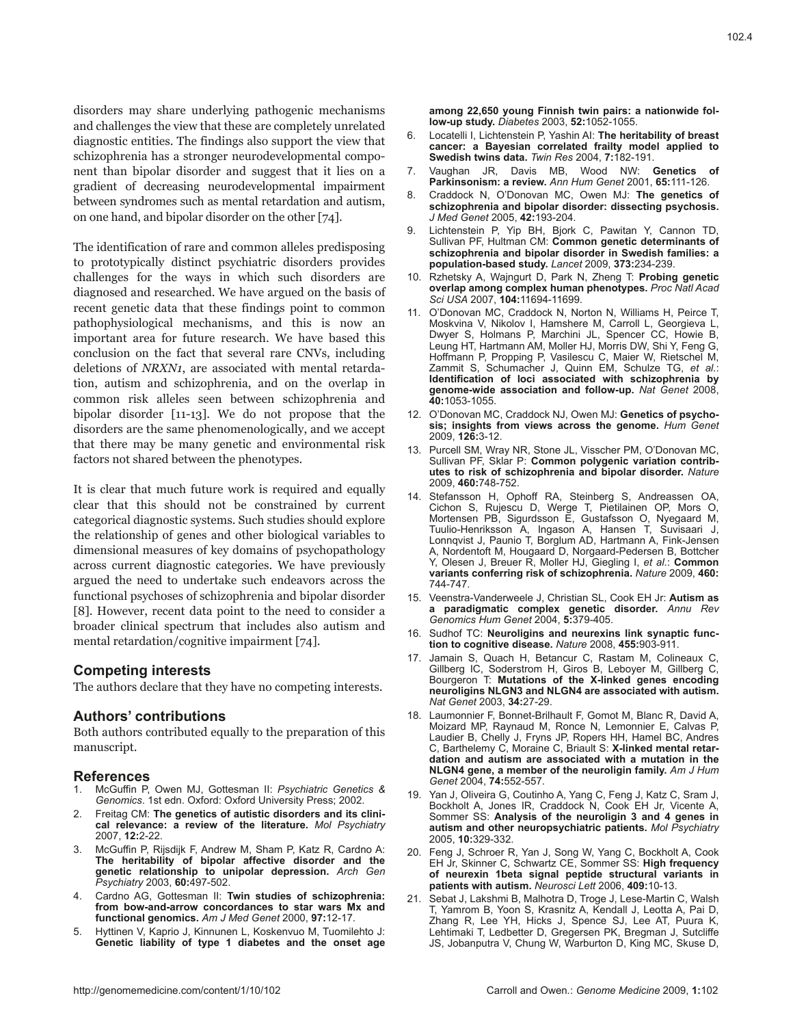disorders may share underlying pathogenic mechanisms and challenges the view that these are completely unrelated diagnostic entities. The findings also support the view that schizophrenia has a stronger neurodevelopmental component than bipolar disorder and suggest that it lies on a gradient of decreasing neurodevelopmental impairment between syndromes such as mental retardation and autism, on one hand, and bipolar disorder on the other [74].

The identification of rare and common alleles predisposing to prototypically distinct psychiatric disorders provides challenges for the ways in which such disorders are diagnosed and researched. We have argued on the basis of recent genetic data that these findings point to common pathophysiological mechanisms, and this is now an important area for future research. We have based this conclusion on the fact that several rare CNVs, including deletions of *NRXN1*, are associated with mental retardation, autism and schizophrenia, and on the overlap in common risk alleles seen between schizophrenia and bipolar disorder [11-13]. We do not propose that the disorders are the same phenomenologically, and we accept that there may be many genetic and environmental risk factors not shared between the phenotypes.

It is clear that much future work is required and equally clear that this should not be constrained by current categorical diagnostic systems. Such studies should explore the relationship of genes and other biological variables to dimensional measures of key domains of psychopathology across current diagnostic categories. We have previously argued the need to undertake such endeavors across the functional psychoses of schizophrenia and bipolar disorder [8]. However, recent data point to the need to consider a broader clinical spectrum that includes also autism and mental retardation/cognitive impairment [74].

## **Competing interests**

The authors declare that they have no competing interests.

## **Authors' contributions**

Both authors contributed equally to the preparation of this manuscript.

## **References**

- 1. McGuffin P, Owen MJ, Gottesman II: *Psychiatric Genetics & Genomics*. 1st edn. Oxford: Oxford University Press; 2002.
- 2. Freitag CM: **The genetics of autistic disorders and its clinical relevance: a review of the literature.** *Mol Psychiatry* 2007, **12:**2-22.
- 3. McGuffin P, Rijsdijk F, Andrew M, Sham P, Katz R, Cardno A: **The heritability of bipolar affective disorder and the genetic relationship to unipolar depression.** *Arch Gen Psychiatry* 2003, **60:**497-502.
- 4. Cardno AG, Gottesman II: **Twin studies of schizophrenia: from bow-and-arrow concordances to star wars Mx and functional genomics.** *Am J Med Genet* 2000, **97:**12-17.
- 5. Hyttinen V, Kaprio J, Kinnunen L, Koskenvuo M, Tuomilehto J: **Genetic liability of type 1 diabetes and the onset age**

**among 22,650 young Finnish twin pairs: a nationwide follow-up study.** *Diabetes* 2003, **52:**1052-1055.

- 6. Locatelli I, Lichtenstein P, Yashin AI: **The heritability of breast cancer: a Bayesian correlated frailty model applied to Swedish twins data.** *Twin Res* 2004, **7:**182-191.
- 7. Vaughan JR, Davis MB, Wood NW: **Genetics of Parkinsonism: a review.** *Ann Hum Genet* 2001, **65:**111-126.
- 8. Craddock N, O'Donovan MC, Owen MJ: **The genetics of schizophrenia and bipolar disorder: dissecting psychosis.**  *J Med Genet* 2005, **42:**193-204.
- 9. Lichtenstein P, Yip BH, Bjork C, Pawitan Y, Cannon TD, Sullivan PF, Hultman CM: **Common genetic determinants of schizophrenia and bipolar disorder in Swedish families: a population-based study.** *Lancet* 2009, **373:**234-239.
- 10. Rzhetsky A, Wajngurt D, Park N, Zheng T: **Probing genetic overlap among complex human phenotypes.** *Proc Natl Acad Sci USA* 2007, **104:**11694-11699.
- 11. O'Donovan MC, Craddock N, Norton N, Williams H, Peirce T, Moskvina V, Nikolov I, Hamshere M, Carroll L, Georgieva L, Dwyer S, Holmans P, Marchini JL, Spencer CC, Howie B, Leung HT, Hartmann AM, Moller HJ, Morris DW, Shi Y, Feng G, Hoffmann P, Propping P, Vasilescu C, Maier W, Rietschel M, Zammit S, Schumacher J, Quinn EM, Schulze TG, *et al.*: **Identification of loci associated with schizophrenia by genome-wide association and follow-up.** *Nat Genet* 2008, **40:**1053-1055.
- 12. O'Donovan MC, Craddock NJ, Owen MJ: **Genetics of psychosis; insights from views across the genome.** *Hum Genet* 2009, **126:**3-12.
- 13. Purcell SM, Wray NR, Stone JL, Visscher PM, O'Donovan MC, Sullivan PF, Sklar P: **Common polygenic variation contributes to risk of schizophrenia and bipolar disorder.** *Nature* 2009, **460:**748-752.
- 14. Stefansson H, Ophoff RA, Steinberg S, Andreassen OA, Cichon S, Rujescu D, Werge T, Pietilainen OP, Mors O, Mortensen PB, Sigurdsson E, Gustafsson O, Nyegaard M, Tuulio-Henriksson A, Ingason A, Hansen T, Suvisaari J, Lonnqvist J, Paunio T, Borglum AD, Hartmann A, Fink-Jensen A, Nordentoft M, Hougaard D, Norgaard-Pedersen B, Bottcher Y, Olesen J, Breuer R, Moller HJ, Giegling I, *et al.*: **Common variants conferring risk of schizophrenia.** *Nature* 2009, **460:** 744-747.
- 15. Veenstra-Vanderweele J, Christian SL, Cook EH Jr: **Autism as a paradigmatic complex genetic disorder.** *Annu Rev Genomics Hum Genet* 2004, **5:**379-405.
- 16. Sudhof TC: **Neuroligins and neurexins link synaptic function to cognitive disease.** *Nature* 2008, **455:**903-911.
- 17. Jamain S, Quach H, Betancur C, Rastam M, Colineaux C, Gillberg IC, Soderstrom H, Giros B, Leboyer M, Gillberg C, Bourgeron T: **Mutations of the X-linked genes encoding neuroligins NLGN3 and NLGN4 are associated with autism.**  *Nat Genet* 2003, **34:**27-29.
- 18. Laumonnier F, Bonnet-Brilhault F, Gomot M, Blanc R, David A, Moizard MP, Raynaud M, Ronce N, Lemonnier E, Calvas P, Laudier B, Chelly J, Fryns JP, Ropers HH, Hamel BC, Andres C, Barthelemy C, Moraine C, Briault S: **X-linked mental retardation and autism are associated with a mutation in the NLGN4 gene, a member of the neuroligin family.** *Am J Hum Genet* 2004, **74:**552-557.
- 19. Yan J, Oliveira G, Coutinho A, Yang C, Feng J, Katz C, Sram J, Bockholt A, Jones IR, Craddock N, Cook EH Jr, Vicente A, Sommer SS: **Analysis of the neuroligin 3 and 4 genes in autism and other neuropsychiatric patients.** *Mol Psychiatry* 2005, **10:**329-332.
- 20. Feng J, Schroer R, Yan J, Song W, Yang C, Bockholt A, Cook EH Jr, Skinner C, Schwartz CE, Sommer SS: **High frequency of neurexin 1beta signal peptide structural variants in patients with autism.** *Neurosci Lett* 2006, **409:**10-13.
- 21. Sebat J, Lakshmi B, Malhotra D, Troge J, Lese-Martin C, Walsh T, Yamrom B, Yoon S, Krasnitz A, Kendall J, Leotta A, Pai D, Zhang R, Lee YH, Hicks J, Spence SJ, Lee AT, Puura K, Lehtimaki T, Ledbetter D, Gregersen PK, Bregman J, Sutcliffe JS, Jobanputra V, Chung W, Warburton D, King MC, Skuse D,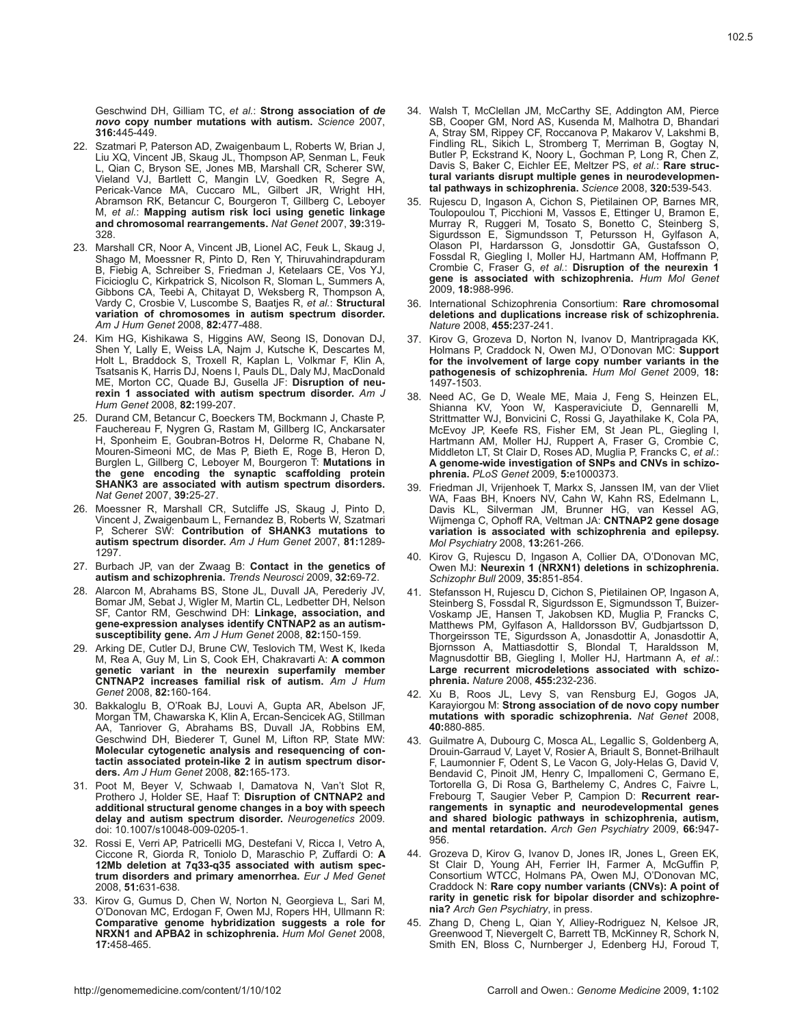Geschwind DH, Gilliam TC, *et al.*: **Strong association of** *de novo* **copy number mutations with autism.** *Science* 2007, **316:**445-449.

- 22. Szatmari P, Paterson AD, Zwaigenbaum L, Roberts W, Brian J, Liu XQ, Vincent JB, Skaug JL, Thompson AP, Senman L, Feuk L, Qian C, Bryson SE, Jones MB, Marshall CR, Scherer SW, Vieland VJ, Bartlett C, Mangin LV, Goedken R, Segre A, Pericak-Vance MA, Cuccaro ML, Gilbert JR, Wright HH, Abramson RK, Betancur C, Bourgeron T, Gillberg C, Leboyer M, *et al.*: **Mapping autism risk loci using genetic linkage and chromosomal rearrangements.** *Nat Genet* 2007, **39:**319-328.
- 23. Marshall CR, Noor A, Vincent JB, Lionel AC, Feuk L, Skaug J, Shago M, Moessner R, Pinto D, Ren Y, Thiruvahindrapduram B, Fiebig A, Schreiber S, Friedman J, Ketelaars CE, Vos YJ, Ficicioglu C, Kirkpatrick S, Nicolson R, Sloman L, Summers A, Gibbons CA, Teebi A, Chitayat D, Weksberg R, Thompson A, Vardy C, Crosbie V, Luscombe S, Baatjes R, *et al.*: **Structural variation of chromosomes in autism spectrum disorder.**  *Am J Hum Genet* 2008, **82:**477-488.
- 24. Kim HG, Kishikawa S, Higgins AW, Seong IS, Donovan DJ, Shen Y, Lally E, Weiss LA, Najm J, Kutsche K, Descartes M, Holt L, Braddock S, Troxell R, Kaplan L, Volkmar F, Klin A, Tsatsanis K, Harris DJ, Noens I, Pauls DL, Daly MJ, MacDonald ME, Morton CC, Quade BJ, Gusella JF: **Disruption of neurexin 1 associated with autism spectrum disorder.** *Am J Hum Genet* 2008, **82:**199-207.
- 25. Durand CM, Betancur C, Boeckers TM, Bockmann J, Chaste P, Fauchereau F, Nygren G, Rastam M, Gillberg IC, Anckarsater H, Sponheim E, Goubran-Botros H, Delorme R, Chabane N, Mouren-Simeoni MC, de Mas P, Bieth E, Roge B, Heron D, Burglen L, Gillberg C, Leboyer M, Bourgeron T: **Mutations in the gene encoding the synaptic scaffolding protein SHANK3 are associated with autism spectrum disorders.**  *Nat Genet* 2007, **39:**25-27.
- 26. Moessner R, Marshall CR, Sutcliffe JS, Skaug J, Pinto D, Vincent J, Zwaigenbaum L, Fernandez B, Roberts W, Szatmari P, Scherer SW: **Contribution of SHANK3 mutations to autism spectrum disorder.** *Am J Hum Genet* 2007, **81:**1289-1297.
- 27. Burbach JP, van der Zwaag B: **Contact in the genetics of autism and schizophrenia.** *Trends Neurosci* 2009, **32:**69-72.
- 28. Alarcon M, Abrahams BS, Stone JL, Duvall JA, Perederiy JV, Bomar JM, Sebat J, Wigler M, Martin CL, Ledbetter DH, Nelson SF, Cantor RM, Geschwind DH: **Linkage, association, and gene-expression analyses identify CNTNAP2 as an autismsusceptibility gene.** *Am J Hum Genet* 2008, **82:**150-159.
- 29. Arking DE, Cutler DJ, Brune CW, Teslovich TM, West K, Ikeda M, Rea A, Guy M, Lin S, Cook EH, Chakravarti A: **A common genetic variant in the neurexin superfamily member CNTNAP2 increases familial risk of autism.** *Am J Hum Genet* 2008, **82:**160-164.
- 30. Bakkaloglu B, O'Roak BJ, Louvi A, Gupta AR, Abelson JF, Morgan TM, Chawarska K, Klin A, Ercan-Sencicek AG, Stillman AA, Tanriover G, Abrahams BS, Duvall JA, Robbins EM, Geschwind DH, Biederer T, Gunel M, Lifton RP, State MW: **Molecular cytogenetic analysis and resequencing of contactin associated protein-like 2 in autism spectrum disorders.** *Am J Hum Genet* 2008, **82:**165-173.
- 31. Poot M, Beyer V, Schwaab I, Damatova N, Van't Slot R, Prothero J, Holder SE, Haaf T: **Disruption of CNTNAP2 and additional structural genome changes in a boy with speech delay and autism spectrum disorder.** *Neurogenetics* 2009. doi: 10.1007/s10048-009-0205-1.
- 32. Rossi E, Verri AP, Patricelli MG, Destefani V, Ricca I, Vetro A, Ciccone R, Giorda R, Toniolo D, Maraschio P, Zuffardi O: **A 12Mb deletion at 7q33-q35 associated with autism spectrum disorders and primary amenorrhea.** *Eur J Med Genet* 2008, **51:**631-638.
- 33. Kirov G, Gumus D, Chen W, Norton N, Georgieva L, Sari M, O'Donovan MC, Erdogan F, Owen MJ, Ropers HH, Ullmann R: **Comparative genome hybridization suggests a role for NRXN1 and APBA2 in schizophrenia.** *Hum Mol Genet* 2008, **17:**458-465.
- 34. Walsh T, McClellan JM, McCarthy SE, Addington AM, Pierce SB, Cooper GM, Nord AS, Kusenda M, Malhotra D, Bhandari A, Stray SM, Rippey CF, Roccanova P, Makarov V, Lakshmi B, Findling RL, Sikich L, Stromberg T, Merriman B, Gogtay N, Butler P, Eckstrand K, Noory L, Gochman P, Long R, Chen Z, Davis S, Baker C, Eichler EE, Meltzer PS, *et al.*: **Rare structural variants disrupt multiple genes in neurodevelopmental pathways in schizophrenia.** *Science* 2008, **320:**539-543.
- 35. Rujescu D, Ingason A, Cichon S, Pietilainen OP, Barnes MR, Toulopoulou T, Picchioni M, Vassos E, Ettinger U, Bramon E, Murray R, Ruggeri M, Tosato S, Bonetto C, Steinberg S, Sigurdsson E, Sigmundsson T, Petursson H, Gylfason A, Olason PI, Hardarsson G, Jonsdottir GA, Gustafsson O, Fossdal R, Giegling I, Moller HJ, Hartmann AM, Hoffmann P, Crombie C, Fraser G, *et al.*: **Disruption of the neurexin 1 gene is associated with schizophrenia.** *Hum Mol Genet* 2009, **18:**988-996.
- 36. International Schizophrenia Consortium: **Rare chromosomal deletions and duplications increase risk of schizophrenia.**  *Nature* 2008, **455:**237-241.
- 37. Kirov G, Grozeva D, Norton N, Ivanov D, Mantripragada KK, Holmans P, Craddock N, Owen MJ, O'Donovan MC: **Support for the involvement of large copy number variants in the pathogenesis of schizophrenia.** *Hum Mol Genet* 2009, **18:** 1497-1503.
- 38. Need AC, Ge D, Weale ME, Maia J, Feng S, Heinzen EL, Shianna KV, Yoon W, Kasperaviciute D, Gennarelli M, Strittmatter WJ, Bonvicini C, Rossi G, Jayathilake K, Cola PA, McEvoy JP, Keefe RS, Fisher EM, St Jean PL, Giegling I, Hartmann AM, Moller HJ, Ruppert A, Fraser G, Crombie C, Middleton LT, St Clair D, Roses AD, Muglia P, Francks C, *et al.*: **A genome-wide investigation of SNPs and CNVs in schizophrenia.** *PLoS Genet* 2009, **5:**e1000373.
- 39. Friedman JI, Vrijenhoek T, Markx S, Janssen IM, van der Vliet WA, Faas BH, Knoers NV, Cahn W, Kahn RS, Edelmann L, Davis KL, Silverman JM, Brunner HG, van Kessel AG, Wijmenga C, Ophoff RA, Veltman JA: **CNTNAP2 gene dosage variation is associated with schizophrenia and epilepsy.**  *Mol Psychiatry* 2008, **13:**261-266.
- 40. Kirov G, Rujescu D, Ingason A, Collier DA, O'Donovan MC, Owen MJ: **Neurexin 1 (NRXN1) deletions in schizophrenia.**  *Schizophr Bull* 2009, **35:**851-854.
- 41. Stefansson H, Rujescu D, Cichon S, Pietilainen OP, Ingason A, Steinberg S, Fossdal R, Sigurdsson E, Sigmundsson T, Buizer-Voskamp JE, Hansen T, Jakobsen KD, Muglia P, Francks C, Matthews PM, Gylfason A, Halldorsson BV, Gudbjartsson D, Thorgeirsson TE, Sigurdsson A, Jonasdottir A, Jonasdottir A, Bjornsson A, Mattiasdottir S, Blondal T, Haraldsson M, Magnusdottir BB, Giegling I, Moller HJ, Hartmann A, *et al.*: **Large recurrent microdeletions associated with schizophrenia.** *Nature* 2008, **455:**232-236.
- 42. Xu B, Roos JL, Levy S, van Rensburg EJ, Gogos JA, Karayiorgou M: **Strong association of de novo copy number mutations with sporadic schizophrenia.** *Nat Genet* 2008, **40:**880-885.
- 43. Guilmatre A, Dubourg C, Mosca AL, Legallic S, Goldenberg A, Drouin-Garraud V, Layet V, Rosier A, Briault S, Bonnet-Brilhault F, Laumonnier F, Odent S, Le Vacon G, Joly-Helas G, David V, Bendavid C, Pinoit JM, Henry C, Impallomeni C, Germano E, Tortorella G, Di Rosa G, Barthelemy C, Andres C, Faivre L, Frebourg T, Saugier Veber P, Campion D: **Recurrent rearrangements in synaptic and neurodevelopmental genes and shared biologic pathways in schizophrenia, autism, and mental retardation.** *Arch Gen Psychiatry* 2009, **66:**947-956.
- 44. Grozeva D, Kirov G, Ivanov D, Jones IR, Jones L, Green EK, St Clair D, Young AH, Ferrier IH, Farmer A, McGuffin P, Consortium WTCC, Holmans PA, Owen MJ, O'Donovan MC, Craddock N: **Rare copy number variants (CNVs): A point of rarity in genetic risk for bipolar disorder and schizophrenia?** *Arch Gen Psychiatry*, in press.
- 45. Zhang D, Cheng L, Qian Y, Alliey-Rodriguez N, Kelsoe JR, Greenwood T, Nievergelt C, Barrett TB, McKinney R, Schork N, Smith EN, Bloss C, Nurnberger J, Edenberg HJ, Foroud T,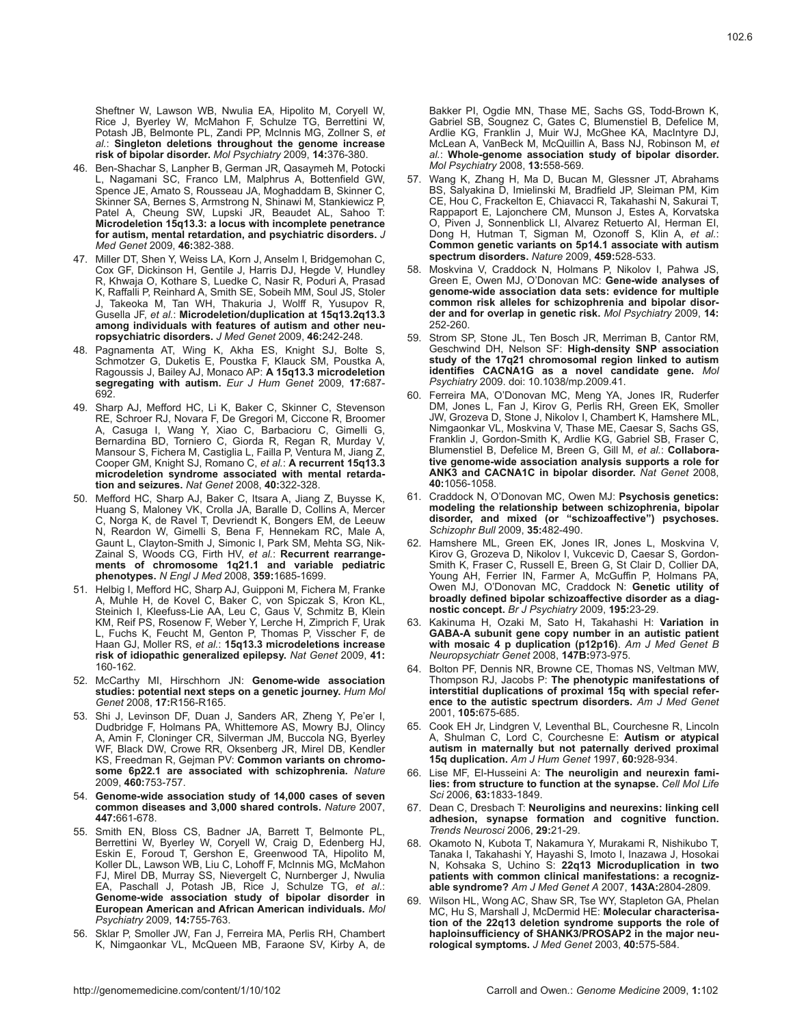Sheftner W, Lawson WB, Nwulia EA, Hipolito M, Coryell W, Rice J, Byerley W, McMahon F, Schulze TG, Berrettini W, Potash JB, Belmonte PL, Zandi PP, McInnis MG, Zollner S, *et al.*: **Singleton deletions throughout the genome increase risk of bipolar disorder.** *Mol Psychiatry* 2009, **14:**376-380.

- 46. Ben-Shachar S, Lanpher B, German JR, Qasaymeh M, Potocki L, Nagamani SC, Franco LM, Malphrus A, Bottenfield GW, Spence JE, Amato S, Rousseau JA, Moghaddam B, Skinner C, Skinner SA, Bernes S, Armstrong N, Shinawi M, Stankiewicz P, Patel A, Cheung SW, Lupski JR, Beaudet AL, Sahoo T: **Microdeletion 15q13.3: a locus with incomplete penetrance for autism, mental retardation, and psychiatric disorders.** *J Med Genet* 2009, **46:**382-388.
- 47. Miller DT, Shen Y, Weiss LA, Korn J, Anselm I, Bridgemohan C, Cox GF, Dickinson H, Gentile J, Harris DJ, Hegde V, Hundley R, Khwaja O, Kothare S, Luedke C, Nasir R, Poduri A, Prasad K, Raffalli P, Reinhard A, Smith SE, Sobeih MM, Soul JS, Stoler Takeoka M, Tan WH, Thakuria J, Wolff R, Yusupov R, Gusella JF, *et al.*: **Microdeletion/duplication at 15q13.2q13.3 among individuals with features of autism and other neuropsychiatric disorders.** *J Med Genet* 2009, **46:**242-248.
- 48. Pagnamenta AT, Wing K, Akha ES, Knight SJ, Bolte S, Schmotzer G, Duketis E, Poustka F, Klauck SM, Poustka A, Ragoussis J, Bailey AJ, Monaco AP: **A 15q13.3 microdeletion segregating with autism.** *Eur J Hum Genet* 2009, **17:**687-692.
- 49. Sharp AJ, Mefford HC, Li K, Baker C, Skinner C, Stevenson RE, Schroer RJ, Novara F, De Gregori M, Ciccone R, Broomer A, Casuga I, Wang Y, Xiao C, Barbacioru C, Gimelli G, Bernardina BD, Torniero C, Giorda R, Regan R, Murday V, Mansour S, Fichera M, Castiglia L, Failla P, Ventura M, Jiang Z, Cooper GM, Knight SJ, Romano C, *et al.*: **A recurrent 15q13.3 microdeletion syndrome associated with mental retardation and seizures.** *Nat Genet* 2008, **40:**322-328.
- 50. Mefford HC, Sharp AJ, Baker C, Itsara A, Jiang Z, Buysse K, Huang S, Maloney VK, Crolla JA, Baralle D, Collins A, Mercer C, Norga K, de Ravel T, Devriendt K, Bongers EM, de Leeuw N, Reardon W, Gimelli S, Bena F, Hennekam RC, Male A, Gaunt L, Clayton-Smith J, Simonic I, Park SM, Mehta SG, Nik-Zainal S, Woods CG, Firth HV, *et al.*: **Recurrent rearrangements of chromosome 1q21.1 and variable pediatric phenotypes.** *N Engl J Med* 2008, **359:**1685-1699.
- 51. Helbig I, Mefford HC, Sharp AJ, Guipponi M, Fichera M, Franke A, Muhle H, de Kovel C, Baker C, von Spiczak S, Kron KL, Steinich I, Kleefuss-Lie AA, Leu C, Gaus V, Schmitz B, Klein KM, Reif PS, Rosenow F, Weber Y, Lerche H, Zimprich F, Urak L, Fuchs K, Feucht M, Genton P, Thomas P, Visscher F, de Haan GJ, Moller RS, *et al.*: **15q13.3 microdeletions increase risk of idiopathic generalized epilepsy.** *Nat Genet* 2009, **41:** 160-162.
- 52. McCarthy MI, Hirschhorn JN: **Genome-wide association studies: potential next steps on a genetic journey.** *Hum Mol Genet* 2008, **17:**R156-R165.
- 53. Shi J, Levinson DF, Duan J, Sanders AR, Zheng Y, Pe'er I, Dudbridge F, Holmans PA, Whittemore AS, Mowry BJ, Olincy A, Amin F, Cloninger CR, Silverman JM, Buccola NG, Byerley WF, Black DW, Crowe RR, Oksenberg JR, Mirel DB, Kendler KS, Freedman R, Gejman PV: **Common variants on chromosome 6p22.1 are associated with schizophrenia.** *Nature* 2009, **460:**753-757.
- 54. **Genome-wide association study of 14,000 cases of seven common diseases and 3,000 shared controls.** *Nature* 2007, **447:**661-678.
- 55. Smith EN, Bloss CS, Badner JA, Barrett T, Belmonte PL, Berrettini W, Byerley W, Coryell W, Craig D, Edenberg HJ, Eskin E, Foroud T, Gershon E, Greenwood TA, Hipolito M, Koller DL, Lawson WB, Liu C, Lohoff F, McInnis MG, McMahon FJ, Mirel DB, Murray SS, Nievergelt C, Nurnberger J, Nwulia EA, Paschall J, Potash JB, Rice J, Schulze TG, *et al.*: **Genome-wide association study of bipolar disorder in European American and African American individuals.** *Mol Psychiatry* 2009, **14:**755-763.
- 56. Sklar P, Smoller JW, Fan J, Ferreira MA, Perlis RH, Chambert K, Nimgaonkar VL, McQueen MB, Faraone SV, Kirby A, de

Bakker PI, Ogdie MN, Thase ME, Sachs GS, Todd-Brown K, Gabriel SB, Sougnez C, Gates C, Blumenstiel B, Defelice M, Ardlie KG, Franklin J, Muir WJ, McGhee KA, MacIntyre DJ, McLean A, VanBeck M, McQuillin A, Bass NJ, Robinson M, *et al.*: **Whole-genome association study of bipolar disorder.**  *Mol Psychiatry* 2008, **13:**558-569.

- 57. Wang K, Zhang H, Ma D, Bucan M, Glessner JT, Abrahams BS, Salyakina D, Imielinski M, Bradfield JP, Sleiman PM, Kim CE, Hou C, Frackelton E, Chiavacci R, Takahashi N, Sakurai T, Rappaport E, Lajonchere CM, Munson J, Estes A, Korvatska O, Piven J, Sonnenblick LI, Alvarez Retuerto AI, Herman EI, Dong H, Hutman T, Sigman M, Ozonoff S, Klin A, *et al.*: **Common genetic variants on 5p14.1 associate with autism spectrum disorders.** *Nature* 2009, **459:**528-533.
- 58. Moskvina V, Craddock N, Holmans P, Nikolov I, Pahwa JS, Green E, Owen MJ, O'Donovan MC: **Gene-wide analyses of genome-wide association data sets: evidence for multiple common risk alleles for schizophrenia and bipolar disorder and for overlap in genetic risk.** *Mol Psychiatry* 2009, **14:** 252-260.
- 59. Strom SP, Stone JL, Ten Bosch JR, Merriman B, Cantor RM, Geschwind DH, Nelson SF: **High-density SNP association study of the 17q21 chromosomal region linked to autism identifies CACNA1G as a novel candidate gene.** *Mol Psychiatry* 2009. doi: 10.1038/mp.2009.41.
- 60. Ferreira MA, O'Donovan MC, Meng YA, Jones IR, Ruderfer DM, Jones L, Fan J, Kirov G, Perlis RH, Green EK, Smoller JW, Grozeva D, Stone J, Nikolov I, Chambert K, Hamshere ML, Nimgaonkar VL, Moskvina V, Thase ME, Caesar S, Sachs GS, Franklin J, Gordon-Smith K, Ardlie KG, Gabriel SB, Fraser C, Blumenstiel B, Defelice M, Breen G, Gill M, *et al.*: **Collaborative genome-wide association analysis supports a role for ANK3 and CACNA1C in bipolar disorder.** *Nat Genet* 2008, **40:**1056-1058.
- 61. Craddock N, O'Donovan MC, Owen MJ: **Psychosis genetics: modeling the relationship between schizophrenia, bipolar disorder, and mixed (or "schizoaffective") psychoses.**  *Schizophr Bull* 2009, **35:**482-490.
- 62. Hamshere ML, Green EK, Jones IR, Jones L, Moskvina V, Kirov G, Grozeva D, Nikolov I, Vukcevic D, Caesar S, Gordon-Smith K, Fraser C, Russell E, Breen G, St Clair D, Collier DA, Young AH, Ferrier IN, Farmer A, McGuffin P, Holmans PA, Owen MJ, O'Donovan MC, Craddock N: **Genetic utility of broadly defined bipolar schizoaffective disorder as a diagnostic concept.** *Br J Psychiatry* 2009, **195:**23-29.
- 63. Kakinuma H, Ozaki M, Sato H, Takahashi H: **Variation in GABA-A subunit gene copy number in an autistic patient with mosaic 4 p duplication (p12p16)**. *Am J Med Genet B Neuropsychiatr Genet* 2008, **147B:**973-975.
- 64. Bolton PF, Dennis NR, Browne CE, Thomas NS, Veltman MW, Thompson RJ, Jacobs P: **The phenotypic manifestations of interstitial duplications of proximal 15q with special reference to the autistic spectrum disorders.** *Am J Med Genet* 2001, **105:**675-685.
- 65. Cook EH Jr, Lindgren V, Leventhal BL, Courchesne R, Lincoln A, Shulman C, Lord C, Courchesne E: **Autism or atypical autism in maternally but not paternally derived proximal 15q duplication.** *Am J Hum Genet* 1997, **60:**928-934.
- 66. Lise MF, El-Husseini A: **The neuroligin and neurexin families: from structure to function at the synapse.** *Cell Mol Life Sci* 2006, **63:**1833-1849.
- 67. Dean C, Dresbach T: **Neuroligins and neurexins: linking cell adhesion, synapse formation and cognitive function.**  *Trends Neurosci* 2006, **29:**21-29.
- 68. Okamoto N, Kubota T, Nakamura Y, Murakami R, Nishikubo T, Tanaka I, Takahashi Y, Hayashi S, Imoto I, Inazawa J, Hosokai N, Kohsaka S, Uchino S: **22q13 Microduplication in two patients with common clinical manifestations: a recognizable syndrome?** *Am J Med Genet A* 2007, **143A:**2804-2809.
- 69. Wilson HL, Wong AC, Shaw SR, Tse WY, Stapleton GA, Phelan MC, Hu S, Marshall J, McDermid HE: **Molecular characterisation of the 22q13 deletion syndrome supports the role of haploinsufficiency of SHANK3/PROSAP2 in the major neurological symptoms.** *J Med Genet* 2003, **40:**575-584.